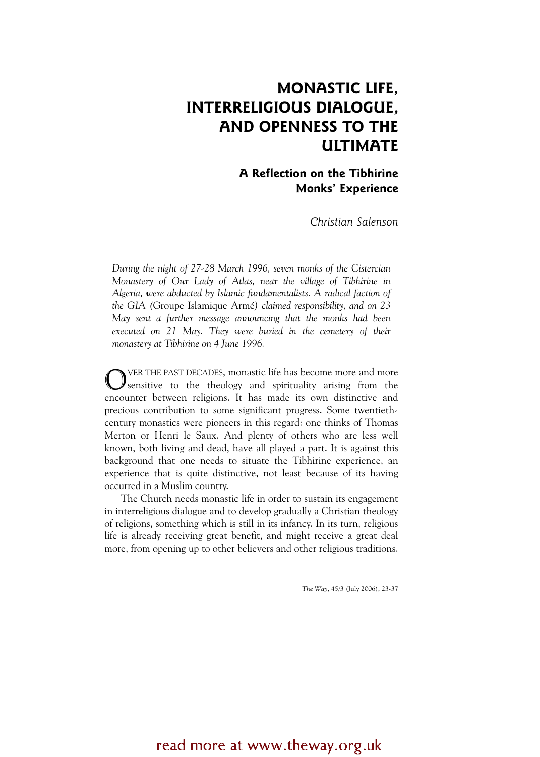### MONASTIC LIFE, INTERRELIGIOUS DIALOGUE, AND OPENNESS TO THE ULTIMATE

### A Reflection on the Tibhirine Monks' Experience

Christian Salenson

During the night of 27-28 March 1996, seven monks of the Cistercian Monastery of Our Lady of Atlas, near the village of Tibhirine in Algeria, were abducted by Islamic fundamentalists. A radical faction of the GIA (Groupe Islamique Armé) claimed responsibility, and on 23 May sent a further message announcing that the monks had been executed on 21 May. They were buried in the cemetery of their monastery at Tibhirine on 4 June 1996.

VER THE PAST DECADES, monastic life has become more and more sensitive to the theology and spirituality arising from the encounter between religions. It has made its own distinctive and precious contribution to some significant progress. Some twentiethcentury monastics were pioneers in this regard: one thinks of Thomas Merton or Henri le Saux. And plenty of others who are less well known, both living and dead, have all played a part. It is against this background that one needs to situate the Tibhirine experience, an experience that is quite distinctive, not least because of its having occurred in a Muslim country. O

The Church needs monastic life in order to sustain its engagement in interreligious dialogue and to develop gradually a Christian theology of religions, something which is still in its infancy. In its turn, religious life is already receiving great benefit, and might receive a great deal more, from opening up to other believers and other religious traditions.

The Way, 45/3 (July 2006), 23-37

### read more at www.theway.org.uk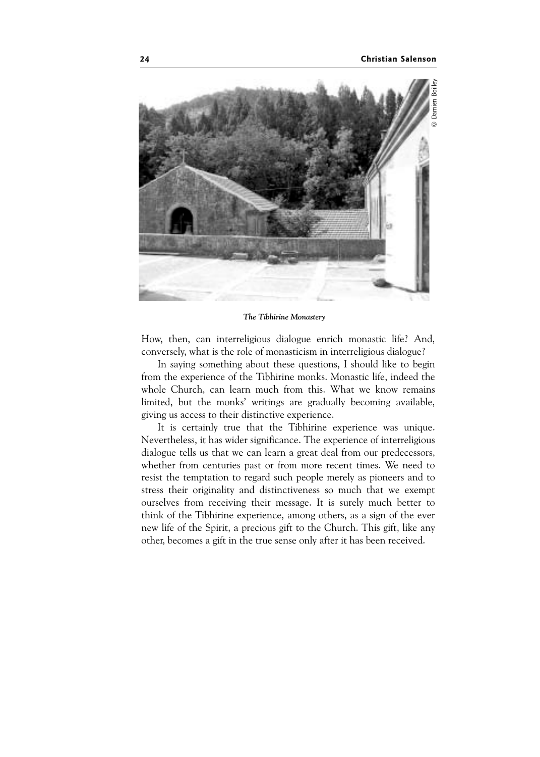

The Tibhirine Monastery

How, then, can interreligious dialogue enrich monastic life? And, conversely, what is the role of monasticism in interreligious dialogue?

In saying something about these questions, I should like to begin from the experience of the Tibhirine monks. Monastic life, indeed the whole Church, can learn much from this. What we know remains limited, but the monks' writings are gradually becoming available, giving us access to their distinctive experience.

It is certainly true that the Tibhirine experience was unique. Nevertheless, it has wider significance. The experience of interreligious dialogue tells us that we can learn a great deal from our predecessors, whether from centuries past or from more recent times. We need to resist the temptation to regard such people merely as pioneers and to stress their originality and distinctiveness so much that we exempt ourselves from receiving their message. It is surely much better to think of the Tibhirine experience, among others, as a sign of the ever new life of the Spirit, a precious gift to the Church. This gift, like any other, becomes a gift in the true sense only after it has been received.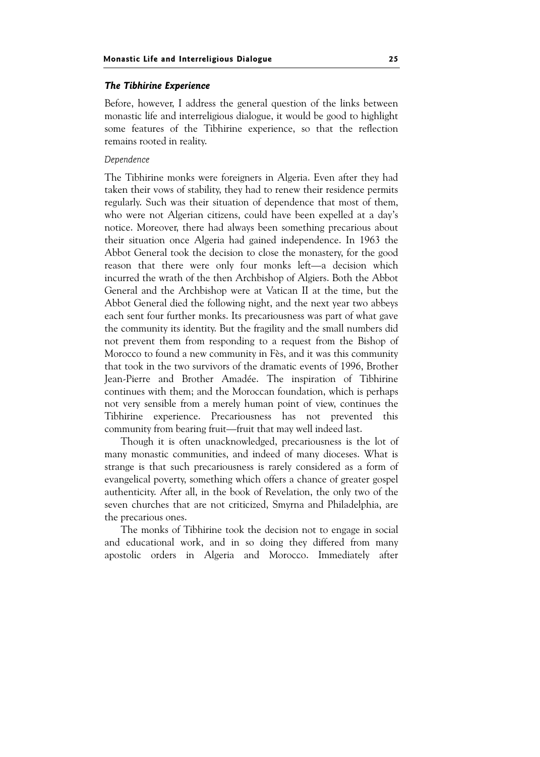#### The Tibhirine Experience The Tibhirine Experience

Before, however, I address the general question of the links between monastic life and interreligious dialogue, it would be good to highlight some features of the Tibhirine experience, so that the reflection remains rooted in reality.

### Dependence

The Tibhirine monks were foreigners in Algeria. Even after they had taken their vows of stability, they had to renew their residence permits regularly. Such was their situation of dependence that most of them, who were not Algerian citizens, could have been expelled at a day's notice. Moreover, there had always been something precarious about their situation once Algeria had gained independence. In 1963 the Abbot General took the decision to close the monastery, for the good reason that there were only four monks left—a decision which incurred the wrath of the then Archbishop of Algiers. Both the Abbot General and the Archbishop were at Vatican II at the time, but the Abbot General died the following night, and the next year two abbeys each sent four further monks. Its precariousness was part of what gave the community its identity. But the fragility and the small numbers did not prevent them from responding to a request from the Bishop of Morocco to found a new community in Fès, and it was this community that took in the two survivors of the dramatic events of 1996, Brother Jean-Pierre and Brother Amadée. The inspiration of Tibhirine continues with them; and the Moroccan foundation, which is perhaps not very sensible from a merely human point of view, continues the Tibhirine experience. Precariousness has not prevented this community from bearing fruit—fruit that may well indeed last.

Though it is often unacknowledged, precariousness is the lot of many monastic communities, and indeed of many dioceses. What is strange is that such precariousness is rarely considered as a form of evangelical poverty, something which offers a chance of greater gospel authenticity. After all, in the book of Revelation, the only two of the seven churches that are not criticized, Smyrna and Philadelphia, are the precarious ones.

The monks of Tibhirine took the decision not to engage in social and educational work, and in so doing they differed from many apostolic orders in Algeria and Morocco. Immediately after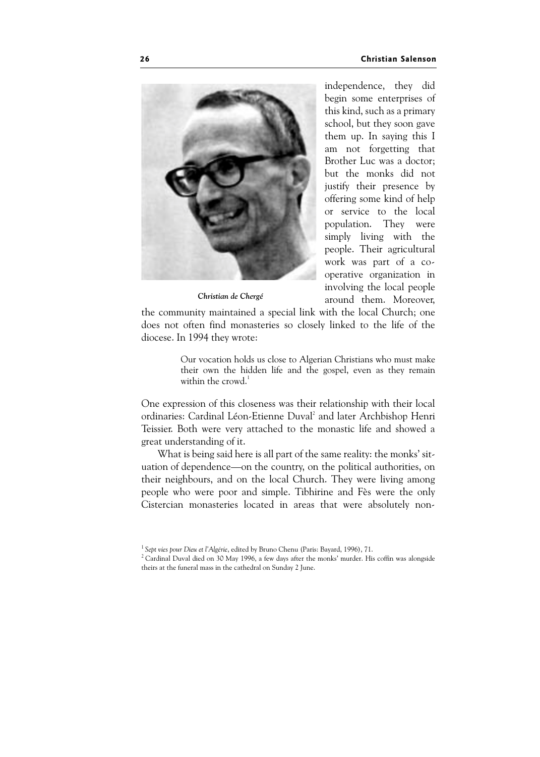

Christian de Chergé

independence, they did begin some enterprises of this kind, such as a primary school, but they soon gave them up. In saying this I am not forgetting that Brother Luc was a doctor; but the monks did not justify their presence by offering some kind of help or service to the local population. They were simply living with the people. Their agricultural work was part of a cooperative organization in involving the local people around them. Moreover,

the community maintained a special link with the local Church; one does not often find monasteries so closely linked to the life of the diocese. In 1994 they wrote:

> Our vocation holds us close to Algerian Christians who must make their own the hidden life and the gospel, even as they remain within the crowd. $1$

One expression of this closeness was their relationship with their local ordinaries: Cardinal Léon-Etienne Duval<sup>2</sup> and later Archbishop Henri Teissier. Both were very attached to the monastic life and showed a great understanding of it.

What is being said here is all part of the same reality: the monks' situation of dependence—on the country, on the political authorities, on their neighbours, and on the local Church. They were living among people who were poor and simple. Tibhirine and Fès were the only Cistercian monasteries located in areas that were absolutely non-

 $1$  Sept vies pour Dieu et l'Algérie, edited by Bruno Chenu (Paris: Bayard, 1996), 71.<br> $2$  Cardinal Duval died on 30 May 1996, a few days after the monks' murder. His coffin was alongside theirs at the funeral mass in the cathedral on Sunday 2 June.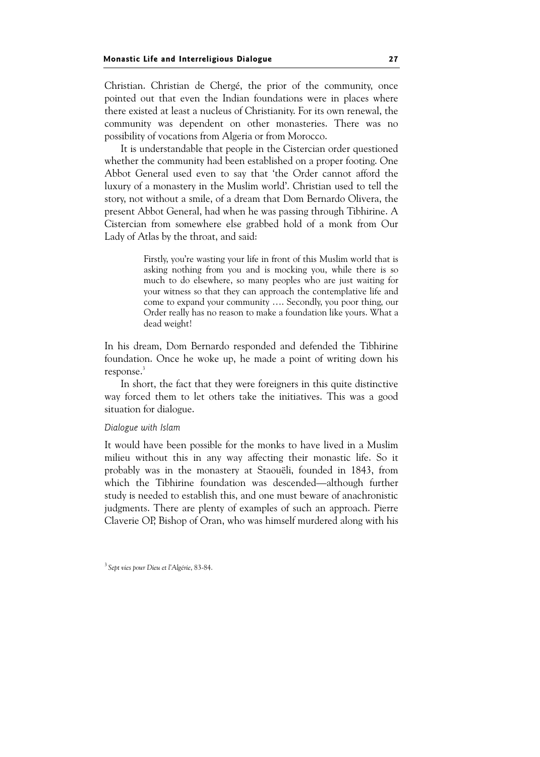Christian. Christian de Chergé, the prior of the community, once pointed out that even the Indian foundations were in places where there existed at least a nucleus of Christianity. For its own renewal, the community was dependent on other monasteries. There was no possibility of vocations from Algeria or from Morocco.

It is understandable that people in the Cistercian order questioned whether the community had been established on a proper footing. One Abbot General used even to say that 'the Order cannot afford the luxury of a monastery in the Muslim world'. Christian used to tell the story, not without a smile, of a dream that Dom Bernardo Olivera, the present Abbot General, had when he was passing through Tibhirine. A Cistercian from somewhere else grabbed hold of a monk from Our Lady of Atlas by the throat, and said:

> Firstly, you're wasting your life in front of this Muslim world that is asking nothing from you and is mocking you, while there is so much to do elsewhere, so many peoples who are just waiting for your witness so that they can approach the contemplative life and come to expand your community …. Secondly, you poor thing, our Order really has no reason to make a foundation like yours. What a dead weight!

In his dream, Dom Bernardo responded and defended the Tibhirine foundation. Once he woke up, he made a point of writing down his response.<sup>3</sup>

In short, the fact that they were foreigners in this quite distinctive way forced them to let others take the initiatives. This was a good situation for dialogue.

#### Dialogue with Islam

It would have been possible for the monks to have lived in a Muslim milieu without this in any way affecting their monastic life. So it probably was in the monastery at Staouëli, founded in 1843, from which the Tibhirine foundation was descended—although further study is needed to establish this, and one must beware of anachronistic judgments. There are plenty of examples of such an approach. Pierre Claverie OP, Bishop of Oran, who was himself murdered along with his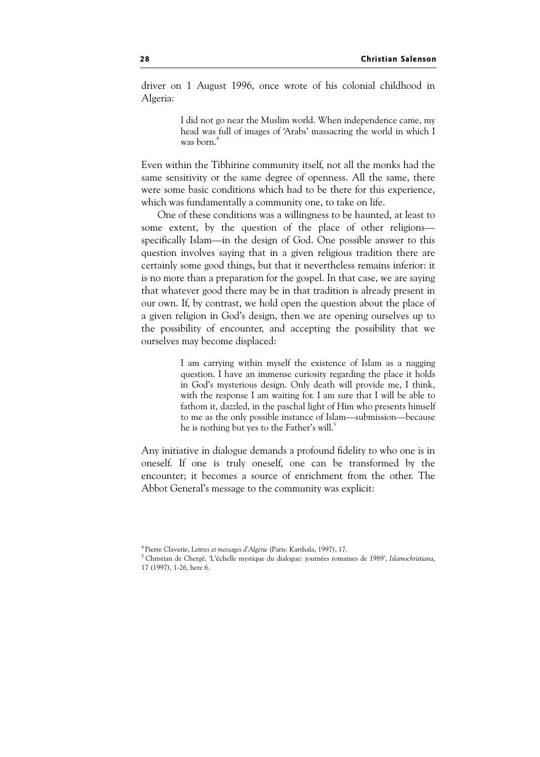driver on 1 August 1996, once wrote of his colonial childhood in Algeria:

> I did not go near the Muslim world. When independence came, my head was full of images of 'Arabs' massacring the world in which I was born.<sup>4</sup>

Even within the Tibhirine community itself, not all the monks had the same sensitivity or the same degree of openness. All the same, there were some basic conditions which had to be there for this experience, which was fundamentally a community one, to take on life.

One of these conditions was a willingness to be haunted, at least to some extent, by the question of the place of other religions specifically Islam—in the design of God. One possible answer to this question involves saying that in a given religious tradition there are certainly some good things, but that it nevertheless remains inferior: it is no more than a preparation for the gospel. In that case, we are saying that whatever good there may be in that tradition is already present in our own. If, by contrast, we hold open the question about the place of a given religion in God's design, then we are opening ourselves up to the possibility of encounter, and accepting the possibility that we ourselves may become displaced:

> I am carrying within myself the existence of Islam as a nagging question. I have an immense curiosity regarding the place it holds in God's mysterious design. Only death will provide me, I think, with the response I am waiting for. I am sure that I will be able to fathom it, dazzled, in the paschal light of Him who presents himself to me as the only possible instance of Islam—submission—because he is nothing but yes to the Father's will.<sup>5</sup>

Any initiative in dialogue demands a profound fidelity to who one is in oneself. If one is truly oneself, one can be transformed by the encounter; it becomes a source of enrichment from the other. The Abbot General's message to the community was explicit:

<sup>&</sup>lt;sup>4</sup> Pierre Claverie, Lettres et messages d'Algérie (Paris: Karthala, 1997), 17.<br><sup>5</sup> Christian de Chergé, 'L'échelle mystique du dialogue: journées romaines de 1989', Islamochristiana, 17 (1997), 1-26, here 6.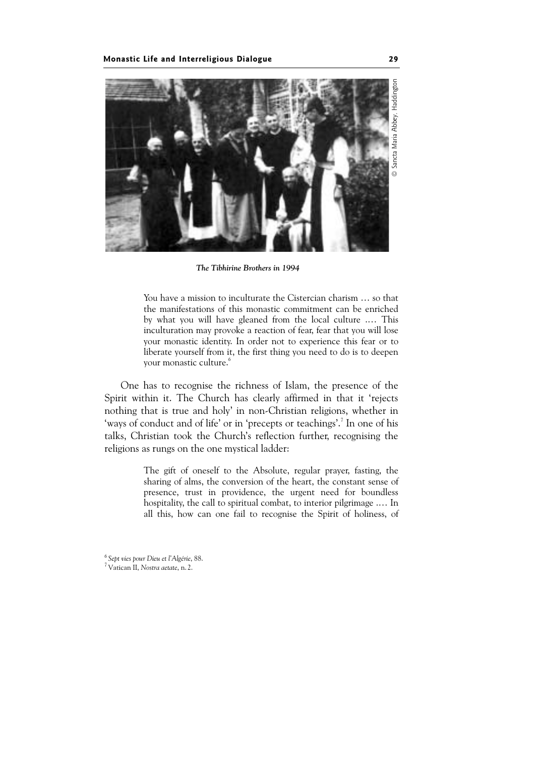

The Tibhirine Brothers in 1994

You have a mission to inculturate the Cistercian charism … so that the manifestations of this monastic commitment can be enriched by what you will have gleaned from the local culture .… This inculturation may provoke a reaction of fear, fear that you will lose your monastic identity. In order not to experience this fear or to liberate yourself from it, the first thing you need to do is to deepen your monastic culture.<sup>6</sup>

One has to recognise the richness of Islam, the presence of the Spirit within it. The Church has clearly affirmed in that it 'rejects nothing that is true and holy' in non-Christian religions, whether in 'ways of conduct and of life' or in 'precepts or teachings'.<sup>7</sup> In one of his talks, Christian took the Church's reflection further, recognising the religions as rungs on the one mystical ladder:

> The gift of oneself to the Absolute, regular prayer, fasting, the sharing of alms, the conversion of the heart, the constant sense of presence, trust in providence, the urgent need for boundless hospitality, the call to spiritual combat, to interior pilgrimage .… In all this, how can one fail to recognise the Spirit of holiness, of

<sup>&</sup>lt;sup>6</sup> Sept vies pour Dieu et l'Algérie, 88.<br><sup>7</sup> Vatican II, Nostra aetate, n. 2.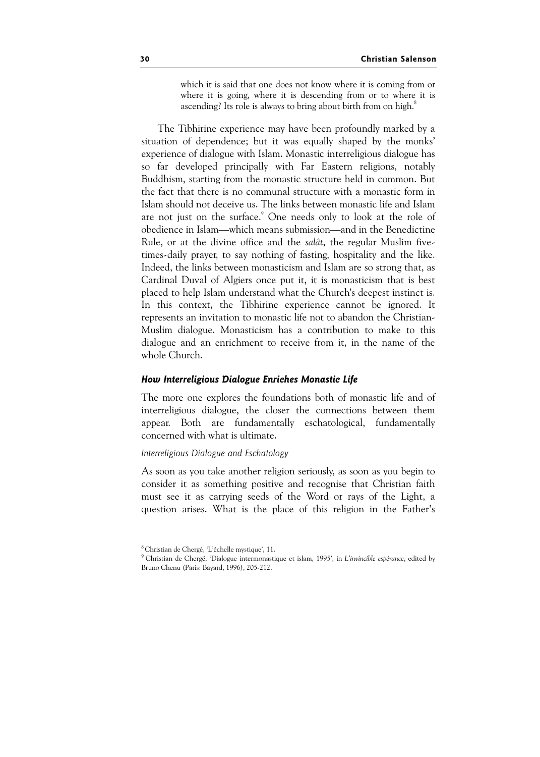which it is said that one does not know where it is coming from or where it is going, where it is descending from or to where it is ascending? Its role is always to bring about birth from on high.<sup>8</sup>

The Tibhirine experience may have been profoundly marked by a situation of dependence; but it was equally shaped by the monks' experience of dialogue with Islam. Monastic interreligious dialogue has so far developed principally with Far Eastern religions, notably Buddhism, starting from the monastic structure held in common. But the fact that there is no communal structure with a monastic form in Islam should not deceive us. The links between monastic life and Islam are not just on the surface.<sup>9</sup> One needs only to look at the role of obedience in Islam—which means submission—and in the Benedictine Rule, or at the divine office and the salât, the regular Muslim fivetimes-daily prayer, to say nothing of fasting, hospitality and the like. Indeed, the links between monasticism and Islam are so strong that, as Cardinal Duval of Algiers once put it, it is monasticism that is best placed to help Islam understand what the Church's deepest instinct is. In this context, the Tibhirine experience cannot be ignored. It represents an invitation to monastic life not to abandon the Christian-Muslim dialogue. Monasticism has a contribution to make to this dialogue and an enrichment to receive from it, in the name of the whole Church.

# How Interreligious Dialogue Enriches Monastic Life

The more one explores the foundations both of monastic life and of interreligious dialogue, the closer the connections between them appear. Both are fundamentally eschatological, fundamentally concerned with what is ultimate.

#### Interreligious Dialogue and Eschatology

As soon as you take another religion seriously, as soon as you begin to consider it as something positive and recognise that Christian faith must see it as carrying seeds of the Word or rays of the Light, a question arises. What is the place of this religion in the Father's

<sup>8</sup>Christian de Chergé, 'L'échelle mystique', 11.

<sup>&</sup>lt;sup>9</sup> Christian de Chergé, 'Dialogue intermonastique et islam, 1995', in L'invincible espérance, edited by Bruno Chenu (Paris: Bayard, 1996), 205-212.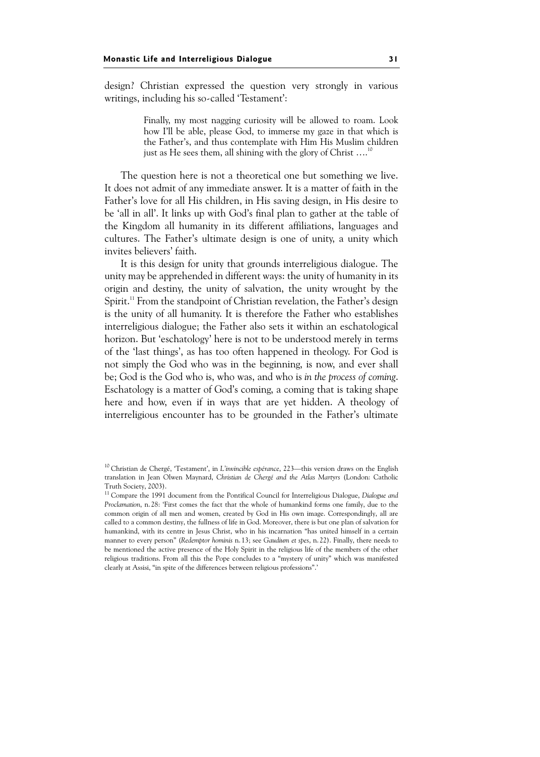design? Christian expressed the question very strongly in various writings, including his so-called 'Testament':

> Finally, my most nagging curiosity will be allowed to roam. Look how I'll be able, please God, to immerse my gaze in that which is the Father's, and thus contemplate with Him His Muslim children just as He sees them, all shining with the glory of Christ ....

The question here is not a theoretical one but something we live. It does not admit of any immediate answer. It is a matter of faith in the Father's love for all His children, in His saving design, in His desire to be 'all in all'. It links up with God's final plan to gather at the table of the Kingdom all humanity in its different affiliations, languages and cultures. The Father's ultimate design is one of unity, a unity which invites believers' faith.

It is this design for unity that grounds interreligious dialogue. The unity may be apprehended in different ways: the unity of humanity in its origin and destiny, the unity of salvation, the unity wrought by the Spirit.<sup>11</sup> From the standpoint of Christian revelation, the Father's design is the unity of all humanity. It is therefore the Father who establishes interreligious dialogue; the Father also sets it within an eschatological horizon. But 'eschatology' here is not to be understood merely in terms of the 'last things', as has too often happened in theology. For God is not simply the God who was in the beginning, is now, and ever shall be; God is the God who is, who was, and who is in the process of coming. Eschatology is a matter of God's coming, a coming that is taking shape here and how, even if in ways that are yet hidden. A theology of interreligious encounter has to be grounded in the Father's ultimate

<sup>&</sup>lt;sup>10</sup> Christian de Chergé, 'Testament', in L'invincible espérance, 223—this version draws on the English translation in Jean Olwen Maynard, Christian de Chergé and the Atlas Martyrs (London: Catholic Truth Society, 2003).

<sup>&</sup>lt;sup>11</sup> Compare the 1991 document from the Pontifical Council for Interreligious Dialogue, Dialogue and Proclamation, n.28: 'First comes the fact that the whole of humankind forms one family, due to the common origin of all men and women, created by God in His own image. Correspondingly, all are called to a common destiny, the fullness of life in God. Moreover, there is but one plan of salvation for humankind, with its centre in Jesus Christ, who in his incarnation "has united himself in a certain manner to every person" (Redemptor hominis n. 13; see Gaudium et spes, n. 22). Finally, there needs to be mentioned the active presence of the Holy Spirit in the religious life of the members of the other religious traditions. From all this the Pope concludes to a "mystery of unity" which was manifested clearly at Assisi, "in spite of the differences between religious professions".'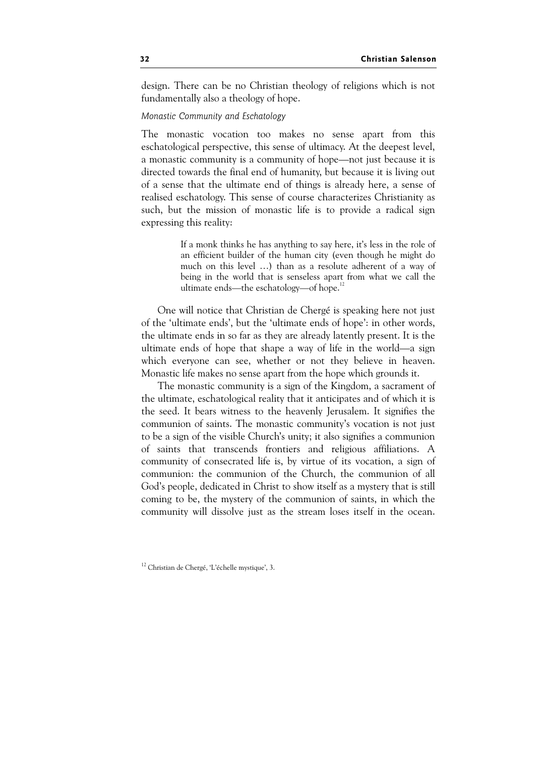design. There can be no Christian theology of religions which is not fundamentally also a theology of hope.

### Monastic Community and Eschatology

The monastic vocation too makes no sense apart from this eschatological perspective, this sense of ultimacy. At the deepest level, a monastic community is a community of hope—not just because it is directed towards the final end of humanity, but because it is living out of a sense that the ultimate end of things is already here, a sense of realised eschatology. This sense of course characterizes Christianity as such, but the mission of monastic life is to provide a radical sign expressing this reality:

> If a monk thinks he has anything to say here, it's less in the role of an efficient builder of the human city (even though he might do much on this level …) than as a resolute adherent of a way of being in the world that is senseless apart from what we call the ultimate ends—the eschatology—of hope.<sup>1</sup>

One will notice that Christian de Chergé is speaking here not just of the 'ultimate ends', but the 'ultimate ends of hope': in other words, the ultimate ends in so far as they are already latently present. It is the ultimate ends of hope that shape a way of life in the world—a sign which everyone can see, whether or not they believe in heaven. Monastic life makes no sense apart from the hope which grounds it.

The monastic community is a sign of the Kingdom, a sacrament of the ultimate, eschatological reality that it anticipates and of which it is the seed. It bears witness to the heavenly Jerusalem. It signifies the communion of saints. The monastic community's vocation is not just to be a sign of the visible Church's unity; it also signifies a communion of saints that transcends frontiers and religious affiliations. A community of consecrated life is, by virtue of its vocation, a sign of communion: the communion of the Church, the communion of all God's people, dedicated in Christ to show itself as a mystery that is still coming to be, the mystery of the communion of saints, in which the community will dissolve just as the stream loses itself in the ocean.

<sup>12</sup> Christian de Chergé, 'L'échelle mystique', 3.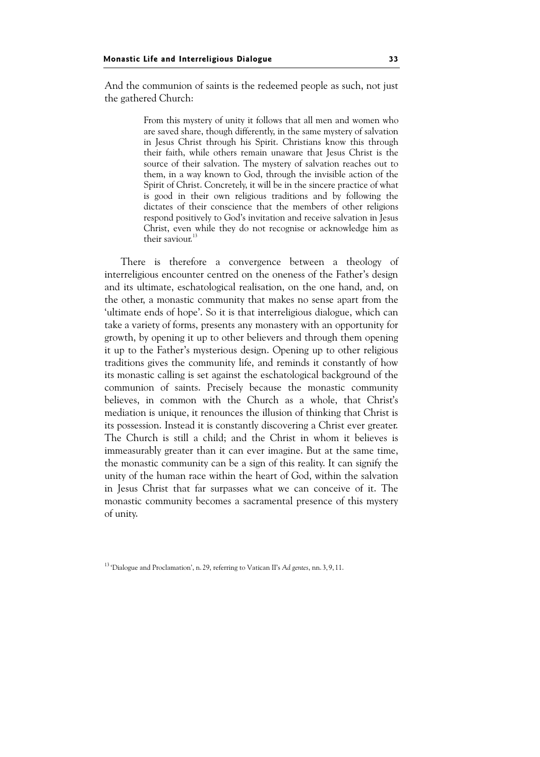And the communion of saints is the redeemed people as such, not just the gathered Church:

> From this mystery of unity it follows that all men and women who are saved share, though differently, in the same mystery of salvation in Jesus Christ through his Spirit. Christians know this through their faith, while others remain unaware that Jesus Christ is the source of their salvation. The mystery of salvation reaches out to them, in a way known to God, through the invisible action of the Spirit of Christ. Concretely, it will be in the sincere practice of what is good in their own religious traditions and by following the dictates of their conscience that the members of other religions respond positively to God's invitation and receive salvation in Jesus Christ, even while they do not recognise or acknowledge him as their saviour.<sup>11</sup>

There is therefore a convergence between a theology of interreligious encounter centred on the oneness of the Father's design and its ultimate, eschatological realisation, on the one hand, and, on the other, a monastic community that makes no sense apart from the 'ultimate ends of hope'. So it is that interreligious dialogue, which can take a variety of forms, presents any monastery with an opportunity for growth, by opening it up to other believers and through them opening it up to the Father's mysterious design. Opening up to other religious traditions gives the community life, and reminds it constantly of how its monastic calling is set against the eschatological background of the communion of saints. Precisely because the monastic community believes, in common with the Church as a whole, that Christ's mediation is unique, it renounces the illusion of thinking that Christ is its possession. Instead it is constantly discovering a Christ ever greater. The Church is still a child; and the Christ in whom it believes is immeasurably greater than it can ever imagine. But at the same time, the monastic community can be a sign of this reality. It can signify the unity of the human race within the heart of God, within the salvation in Jesus Christ that far surpasses what we can conceive of it. The monastic community becomes a sacramental presence of this mystery of unity.

<sup>&</sup>lt;sup>13</sup> 'Dialogue and Proclamation', n. 29, referring to Vatican II's Ad gentes, nn. 3, 9, 11.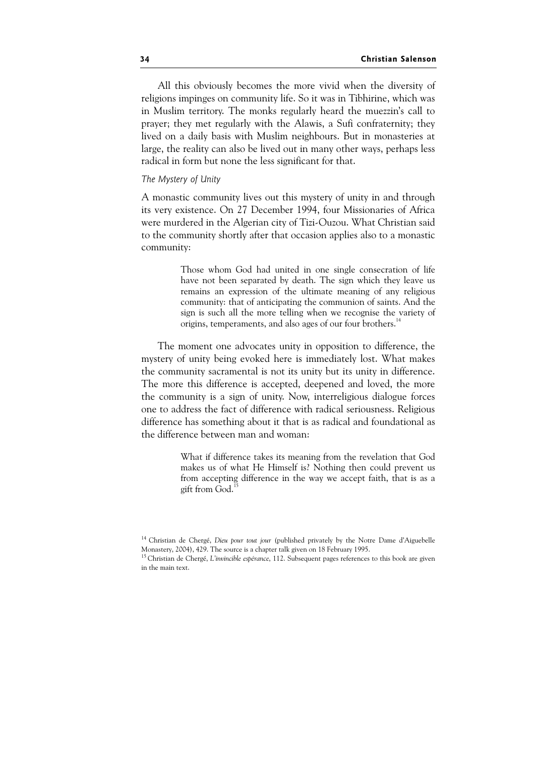All this obviously becomes the more vivid when the diversity of religions impinges on community life. So it was in Tibhirine, which was in Muslim territory. The monks regularly heard the muezzin's call to prayer; they met regularly with the Alawis, a Sufi confraternity; they lived on a daily basis with Muslim neighbours. But in monasteries at large, the reality can also be lived out in many other ways, perhaps less radical in form but none the less significant for that.

### The Mystery of Unity

A monastic community lives out this mystery of unity in and through its very existence. On 27 December 1994, four Missionaries of Africa were murdered in the Algerian city of Tizi-Ouzou. What Christian said to the community shortly after that occasion applies also to a monastic community:

> Those whom God had united in one single consecration of life have not been separated by death. The sign which they leave us remains an expression of the ultimate meaning of any religious community: that of anticipating the communion of saints. And the sign is such all the more telling when we recognise the variety of origins, temperaments, and also ages of our four brothers.<sup>1</sup>

The moment one advocates unity in opposition to difference, the mystery of unity being evoked here is immediately lost. What makes the community sacramental is not its unity but its unity in difference. The more this difference is accepted, deepened and loved, the more the community is a sign of unity. Now, interreligious dialogue forces one to address the fact of difference with radical seriousness. Religious difference has something about it that is as radical and foundational as the difference between man and woman:

> What if difference takes its meaning from the revelation that God makes us of what He Himself is? Nothing then could prevent us from accepting difference in the way we accept faith, that is as a gift from God.

<sup>&</sup>lt;sup>14</sup> Christian de Chergé, Dieu pour tout jour (published privately by the Notre Dame d'Aiguebelle Monastery, 2004), 429. The source is a chapter talk given on 18 February 1995.

<sup>&</sup>lt;sup>15</sup> Christian de Chergé, L'invincible espérance, 112. Subsequent pages references to this book are given in the main text.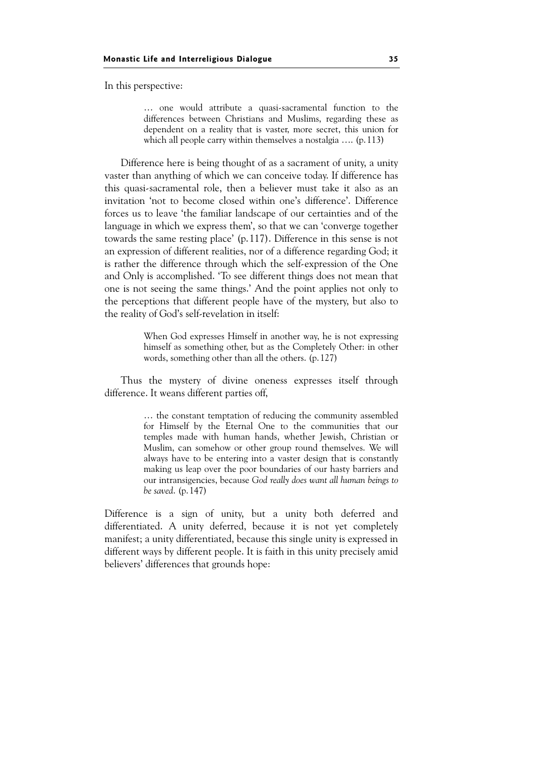In this perspective:

… one would attribute a quasi-sacramental function to the differences between Christians and Muslims, regarding these as dependent on a reality that is vaster, more secret, this union for which all people carry within themselves a nostalgia …. (p.113)

Difference here is being thought of as a sacrament of unity, a unity vaster than anything of which we can conceive today. If difference has this quasi-sacramental role, then a believer must take it also as an invitation 'not to become closed within one's difference'. Difference forces us to leave 'the familiar landscape of our certainties and of the language in which we express them', so that we can 'converge together towards the same resting place' (p.117). Difference in this sense is not an expression of different realities, nor of a difference regarding God; it is rather the difference through which the self-expression of the One and Only is accomplished. 'To see different things does not mean that one is not seeing the same things.' And the point applies not only to the perceptions that different people have of the mystery, but also to the reality of God's self-revelation in itself:

> When God expresses Himself in another way, he is not expressing himself as something other, but as the Completely Other: in other words, something other than all the others. (p.127)

Thus the mystery of divine oneness expresses itself through difference. It weans different parties off,

> … the constant temptation of reducing the community assembled for Himself by the Eternal One to the communities that our temples made with human hands, whether Jewish, Christian or Muslim, can somehow or other group round themselves. We will always have to be entering into a vaster design that is constantly making us leap over the poor boundaries of our hasty barriers and our intransigencies, because God really does want all human beings to be saved. (p.147)

Difference is a sign of unity, but a unity both deferred and differentiated. A unity deferred, because it is not yet completely manifest; a unity differentiated, because this single unity is expressed in different ways by different people. It is faith in this unity precisely amid believers' differences that grounds hope: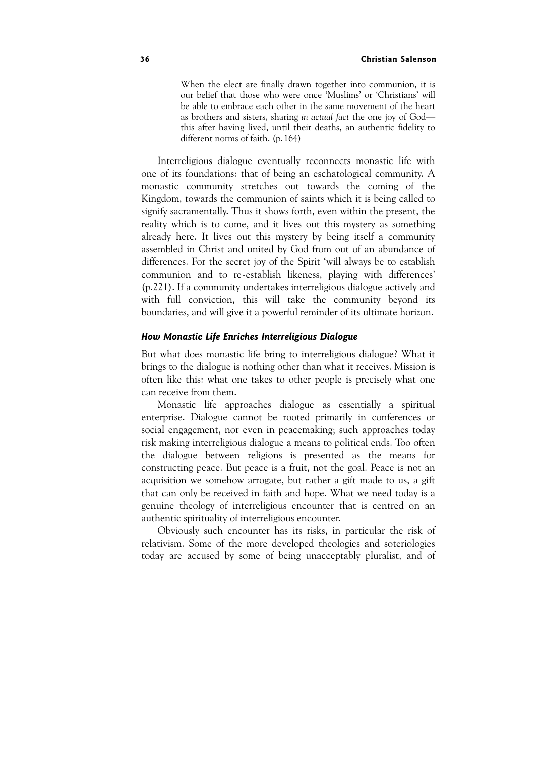When the elect are finally drawn together into communion, it is our belief that those who were once 'Muslims' or 'Christians' will be able to embrace each other in the same movement of the heart as brothers and sisters, sharing in actual fact the one joy of God this after having lived, until their deaths, an authentic fidelity to different norms of faith. (p.164)

Interreligious dialogue eventually reconnects monastic life with one of its foundations: that of being an eschatological community. A monastic community stretches out towards the coming of the Kingdom, towards the communion of saints which it is being called to signify sacramentally. Thus it shows forth, even within the present, the reality which is to come, and it lives out this mystery as something already here. It lives out this mystery by being itself a community assembled in Christ and united by God from out of an abundance of differences. For the secret joy of the Spirit 'will always be to establish communion and to re-establish likeness, playing with differences' (p.221). If a community undertakes interreligious dialogue actively and with full conviction, this will take the community beyond its boundaries, and will give it a powerful reminder of its ultimate horizon.

# How Monastic Life Enriches Interreligious Dialogue

But what does monastic life bring to interreligious dialogue? What it brings to the dialogue is nothing other than what it receives. Mission is often like this: what one takes to other people is precisely what one can receive from them.

Monastic life approaches dialogue as essentially a spiritual enterprise. Dialogue cannot be rooted primarily in conferences or social engagement, nor even in peacemaking; such approaches today risk making interreligious dialogue a means to political ends. Too often the dialogue between religions is presented as the means for constructing peace. But peace is a fruit, not the goal. Peace is not an acquisition we somehow arrogate, but rather a gift made to us, a gift that can only be received in faith and hope. What we need today is a genuine theology of interreligious encounter that is centred on an authentic spirituality of interreligious encounter.

Obviously such encounter has its risks, in particular the risk of relativism. Some of the more developed theologies and soteriologies today are accused by some of being unacceptably pluralist, and of